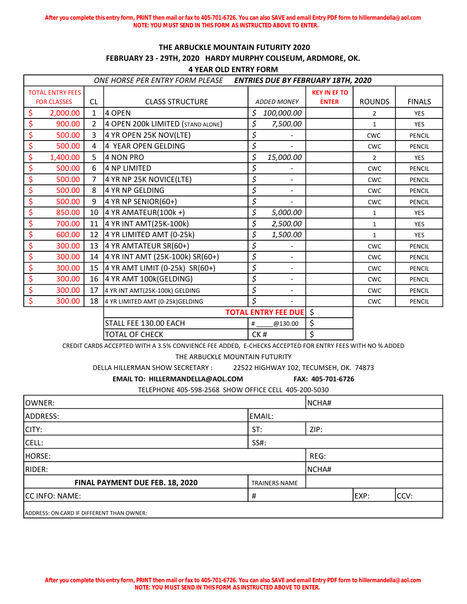**After you complete this entry form, PRINT then mail or fax to 405-701-6726. You can also SAVE and email Entry PDF form to hillermandella@aol.com NOTE: YOU MUST SEND IN THIS FORM AS INSTRUCTED ABOVE TO ENTER.**

## THE ARBUCKLE MOUNTAIN FUTURITY 2020 FEBRUARY 23 - 29TH, 2020 HARDY MURPHY COLISEUM, ARDMORE, OK.

4 YEAR OLD ENTRY FORM

| ONE HORSE PER ENTRY FORM PLEASE |                    |                |                                   | <b>ENTRIES DUE BY FEBRUARY 18TH, 2020</b> |                            |                     |                |               |  |
|---------------------------------|--------------------|----------------|-----------------------------------|-------------------------------------------|----------------------------|---------------------|----------------|---------------|--|
| <b>TOTAL ENTRY FEES</b>         |                    |                |                                   |                                           |                            | <b>KEY IN EF TO</b> |                |               |  |
|                                 | <b>FOR CLASSES</b> | <b>CL</b>      | <b>CLASS STRUCTURE</b>            |                                           | <b>ADDED MONEY</b>         | <b>ENTER</b>        | <b>ROUNDS</b>  | <b>FINALS</b> |  |
| \$                              | 2,000.00           | $\mathbf{1}$   | 4 OPEN                            | \$                                        | 100,000.00                 |                     | $\overline{2}$ | <b>YES</b>    |  |
| \$                              | 900.00             | $\overline{2}$ | 4 OPEN 200k LIMITED (STAND ALONE) | \$                                        | 7,500.00                   |                     | $\mathbf{1}$   | <b>YES</b>    |  |
| \$                              | 500.00             | 3              | 4 YR OPEN 25K NOV(LTE)            | \$                                        |                            |                     | <b>CWC</b>     | <b>PENCIL</b> |  |
| \$                              | 500.00             | 4              | 4 YEAR OPEN GELDING               | \$                                        |                            |                     | <b>CWC</b>     | <b>PENCIL</b> |  |
| \$                              | 1,400.00           | 5              | 4 NON PRO                         | \$                                        | 15,000.00                  |                     | $\overline{2}$ | <b>YES</b>    |  |
| \$                              | 500.00             | 6              | 4 NP LIMITED                      | \$                                        |                            |                     | <b>CWC</b>     | <b>PENCIL</b> |  |
| \$                              | 500.00             | $\overline{7}$ | 4 YR NP 25K NOVICE(LTE)           | \$                                        | $\overline{a}$             |                     | <b>CWC</b>     | <b>PENCIL</b> |  |
| \$                              | 500.00             | 8              | 4 YR NP GELDING                   | \$                                        |                            |                     | <b>CWC</b>     | <b>PENCIL</b> |  |
| \$                              | 500.00             | 9              | 4 YR NP SENIOR(60+)               | \$                                        |                            |                     | <b>CWC</b>     | <b>PENCIL</b> |  |
| \$                              | 850.00             | 10             | 4 YR AMATEUR(100 $k +$ )          | \$                                        | 5,000.00                   |                     | $\mathbf{1}$   | <b>YES</b>    |  |
| \$                              | 700.00             | 11             | 4 YR INT AMT(25K-100k)            | \$                                        | 2,500.00                   |                     | $\mathbf{1}$   | <b>YES</b>    |  |
| \$                              | 600.00             | 12             | 4 YR LIMITED AMT (0-25k)          | \$                                        | 1,500.00                   |                     | $\mathbf{1}$   | <b>YES</b>    |  |
| \$                              | 300.00             | 13             | 4 YR AMTATEUR SR(60+)             | \$                                        |                            |                     | <b>CWC</b>     | <b>PENCIL</b> |  |
| \$                              | 300.00             | 14             | 4 YR INT AMT (25K-100k) SR(60+)   | \$                                        | $\overline{a}$             |                     | <b>CWC</b>     | <b>PENCIL</b> |  |
| \$                              | 300.00             | 15             | 4 YR AMT LIMIT (0-25k) SR(60+)    | \$                                        | $\overline{a}$             |                     | <b>CWC</b>     | <b>PENCIL</b> |  |
| \$                              | 300.00             | 16             | 4 YR AMT 100k(GELDING)            | \$                                        |                            |                     | <b>CWC</b>     | <b>PENCIL</b> |  |
| \$                              | 300.00             | 17             | 4 YR INT AMT(25K-100k) GELDING    | \$                                        |                            |                     | <b>CWC</b>     | <b>PENCIL</b> |  |
| \$                              | 300.00             | 18             | 4 YR LIMITED AMT (0-25k)GELDING   | \$                                        | $\overline{\phantom{a}}$   |                     | <b>CWC</b>     | <b>PENCIL</b> |  |
|                                 |                    |                |                                   |                                           | <b>TOTAL ENTRY FEE DUE</b> | $\zeta$             |                |               |  |
|                                 |                    |                | STALL FEE 130.00 EACH             | #                                         | @130.00                    | \$                  |                |               |  |
|                                 |                    |                | <b>TOTAL OF CHECK</b>             | CK#                                       |                            | \$                  |                |               |  |

CREDIT CARDS ACCEPTED WITH A 3.5% CONVIENCE FEE ADDED, E-CHECKS ACCEPTED FOR ENTRY FEES WITH NO % ADDED

THE ARBUCKLE MOUNTAIN FUTURITY

DELLA HILLERMAN SHOW SECRETARY : 22522 HIGHWAY 102, TECUMSEH, OK. 74873

EMAIL TO: HILLERMANDELLA@AOL.COM FAX: 405-701-6726

TELEPHONE 405-598-2568 SHOW OFFICE CELL 405-200-5030

| lOWNER:                                   |                      |      | NCHA# |  |      |  |
|-------------------------------------------|----------------------|------|-------|--|------|--|
| ADDRESS:                                  | EMAIL:               |      |       |  |      |  |
| CITY:                                     | ST:                  | ZIP: |       |  |      |  |
| CELL:                                     | SS#:                 |      |       |  |      |  |
| HORSE:                                    |                      | REG: |       |  |      |  |
| RIDER:                                    | NCHA#                |      |       |  |      |  |
| FINAL PAYMENT DUE FEB. 18, 2020           | <b>TRAINERS NAME</b> |      |       |  |      |  |
| CC INFO: NAME:                            | #                    |      |       |  | CCV: |  |
| ADDRESS: ON CARD IF DIFFERENT THAN OWNER: |                      |      |       |  |      |  |